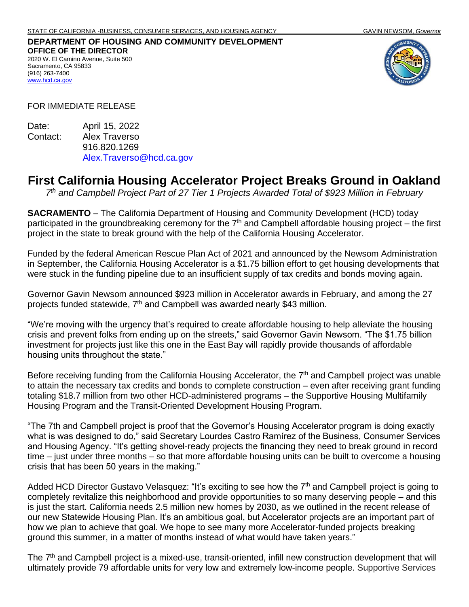## **DEPARTMENT OF HOUSING AND COMMUNITY DEVELOPMENT OFFICE OF THE DIRECTOR** 2020 W. El Camino Avenue, Suite 500 Sacramento, CA 95833 (916) 263-7400



FOR IMMEDIATE RELEASE

[www.hcd.ca.gov](http://www.hcd.ca.gov/)

Date: April 15, 2022 Contact: Alex Traverso 916.820.1269 [Alex.Traverso@hcd.ca.gov](mailto:Alex.Traverso@hcd.ca.gov)

## **First California Housing Accelerator Project Breaks Ground in Oakland**

*7 th and Campbell Project Part of 27 Tier 1 Projects Awarded Total of \$923 Million in February*

**SACRAMENTO** – The California Department of Housing and Community Development (HCD) today participated in the groundbreaking ceremony for the  $7<sup>th</sup>$  and Campbell affordable housing project – the first project in the state to break ground with the help of the California Housing Accelerator.

Funded by the federal American Rescue Plan Act of 2021 and announced by the Newsom Administration in September, the California Housing Accelerator is a \$1.75 billion effort to get housing developments that were stuck in the funding pipeline due to an insufficient supply of tax credits and bonds moving again.

Governor Gavin Newsom announced \$923 million in Accelerator awards in February, and among the 27 projects funded statewide, 7<sup>th</sup> and Campbell was awarded nearly \$43 million.

"We're moving with the urgency that's required to create affordable housing to help alleviate the housing crisis and prevent folks from ending up on the streets," said Governor Gavin Newsom. "The \$1.75 billion investment for projects just like this one in the East Bay will rapidly provide thousands of affordable housing units throughout the state."

Before receiving funding from the California Housing Accelerator, the  $7<sup>th</sup>$  and Campbell project was unable to attain the necessary tax credits and bonds to complete construction – even after receiving grant funding totaling \$18.7 million from two other HCD-administered programs – the Supportive Housing Multifamily Housing Program and the Transit-Oriented Development Housing Program.

"The 7th and Campbell project is proof that the Governor's Housing Accelerator program is doing exactly what is was designed to do," said Secretary Lourdes Castro Ramírez of the Business, Consumer Services and Housing Agency. "It's getting shovel-ready projects the financing they need to break ground in record time – just under three months – so that more affordable housing units can be built to overcome a housing crisis that has been 50 years in the making."

Added HCD Director Gustavo Velasquez: "It's exciting to see how the 7<sup>th</sup> and Campbell project is going to completely revitalize this neighborhood and provide opportunities to so many deserving people – and this is just the start. California needs 2.5 million new homes by 2030, as we outlined in the recent release of our new Statewide Housing Plan. It's an ambitious goal, but Accelerator projects are an important part of how we plan to achieve that goal. We hope to see many more Accelerator-funded projects breaking ground this summer, in a matter of months instead of what would have taken years."

The 7<sup>th</sup> and Campbell project is a mixed-use, transit-oriented, infill new construction development that will ultimately provide 79 affordable units for very low and extremely low-income people. Supportive Services